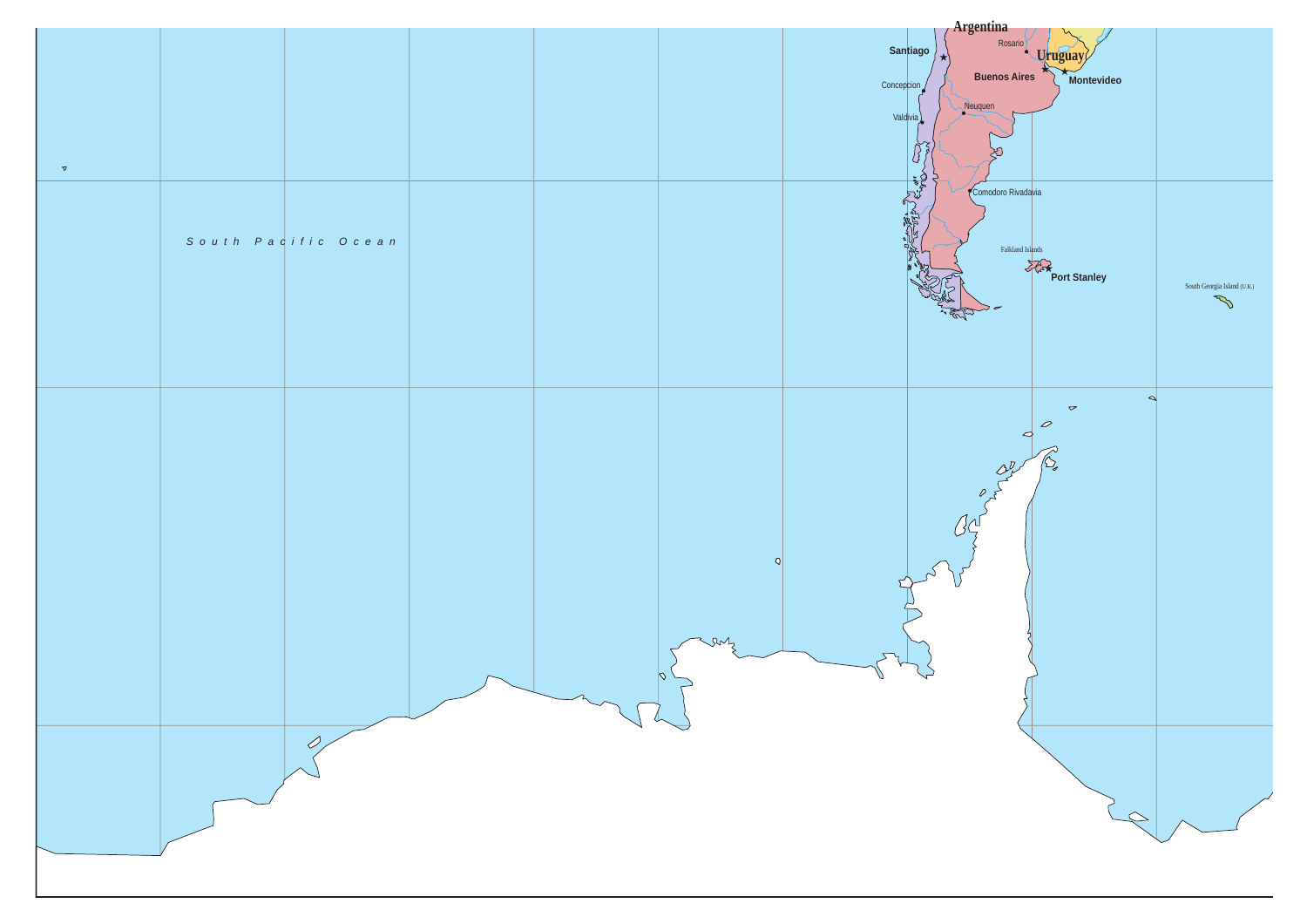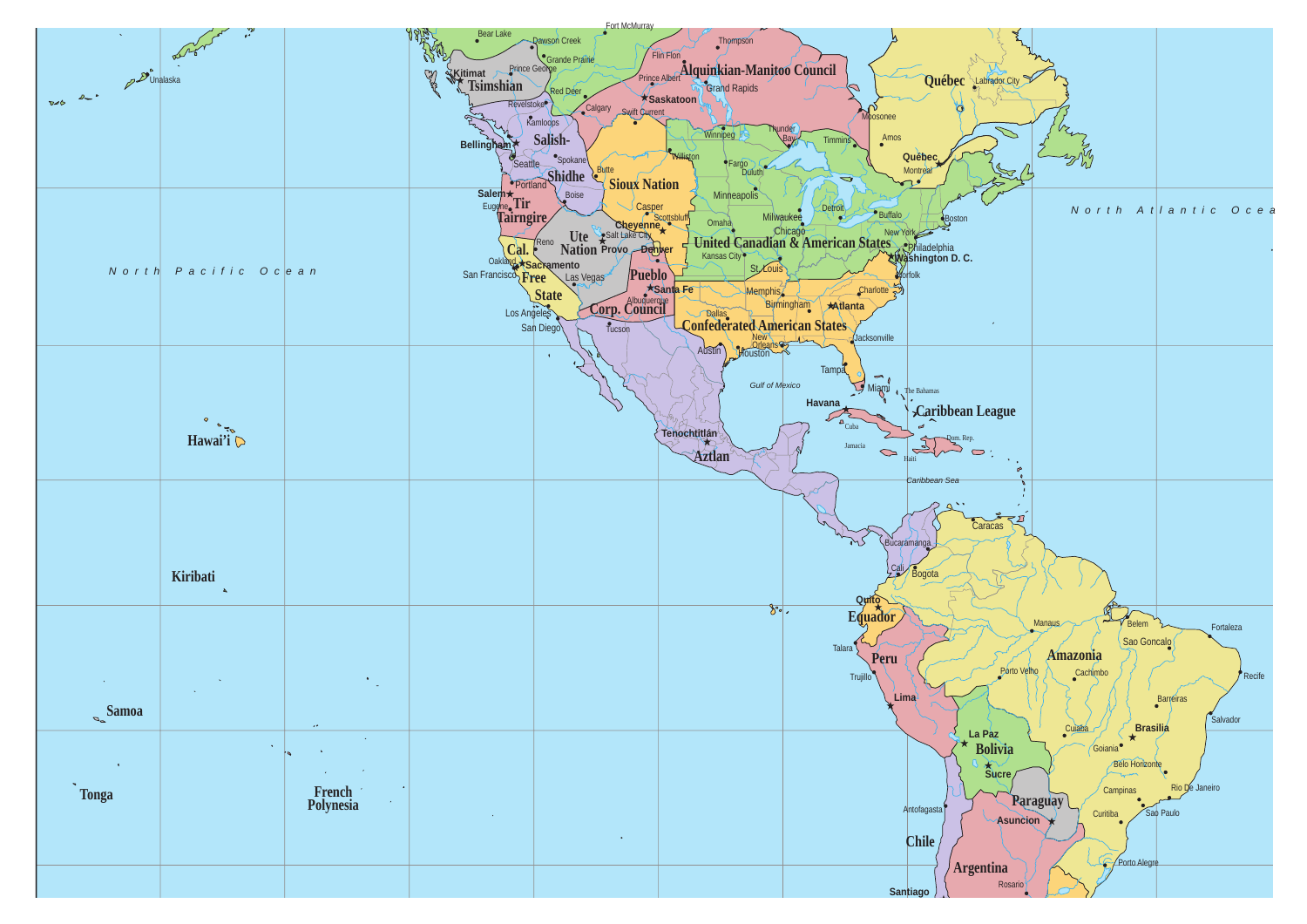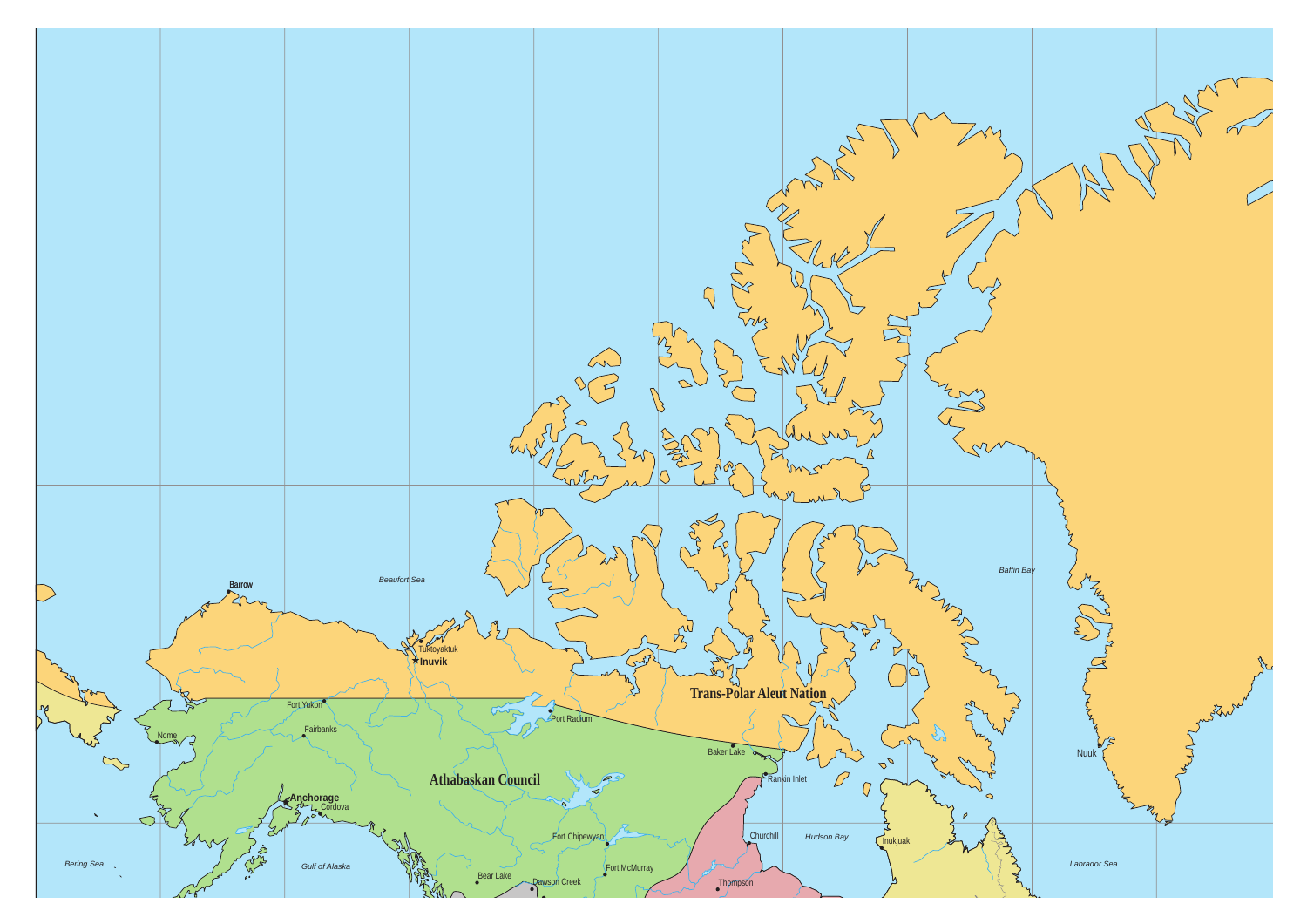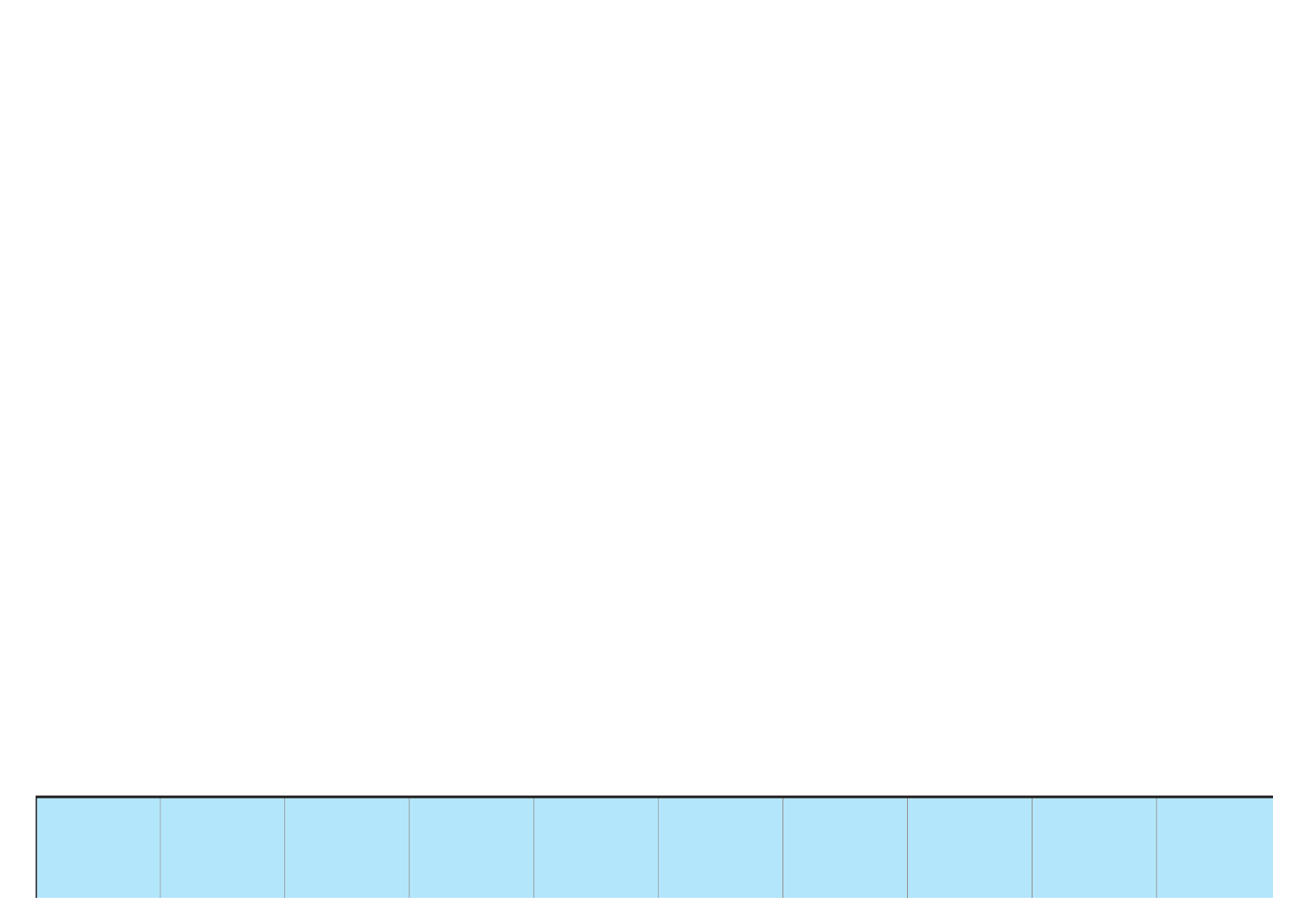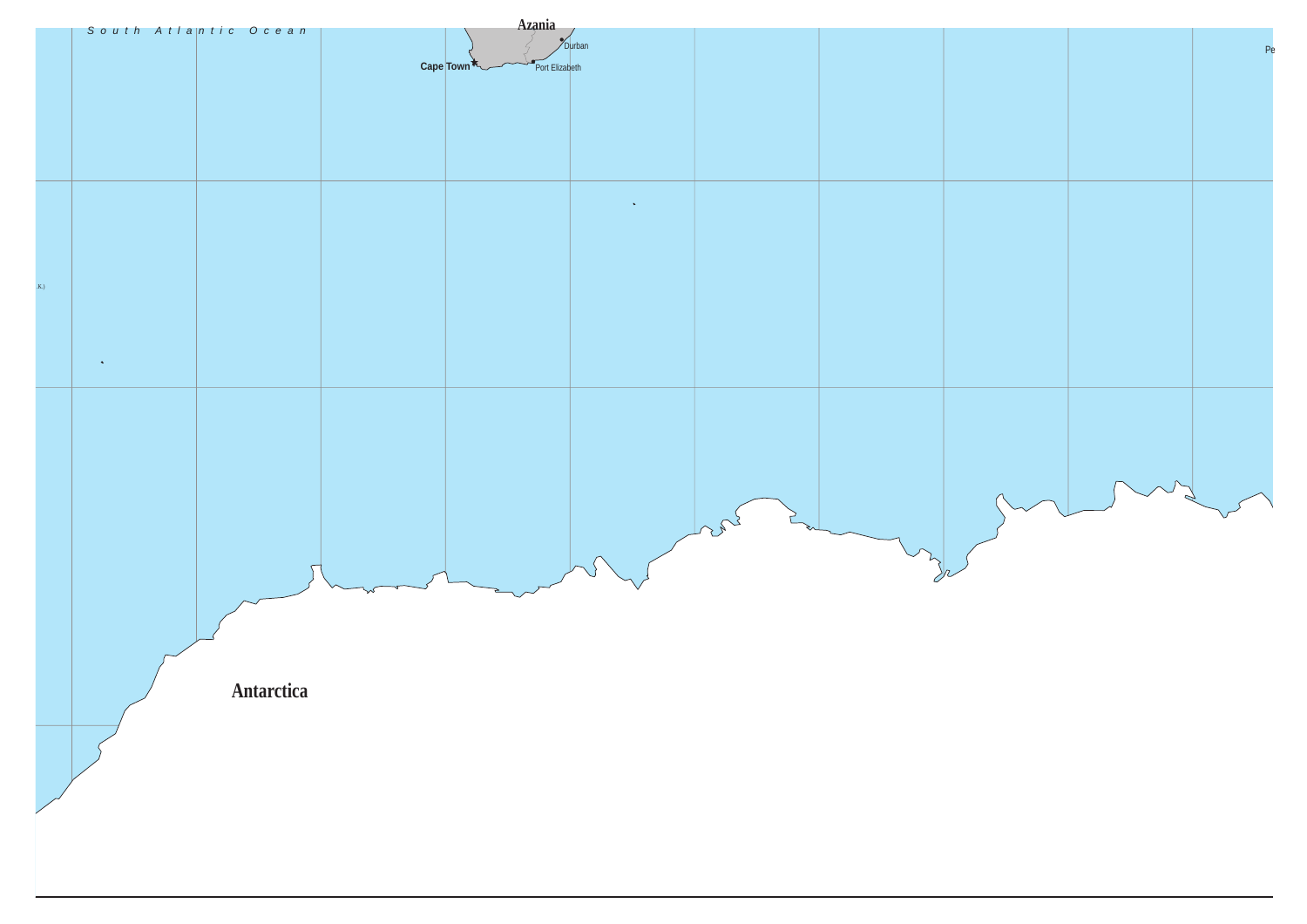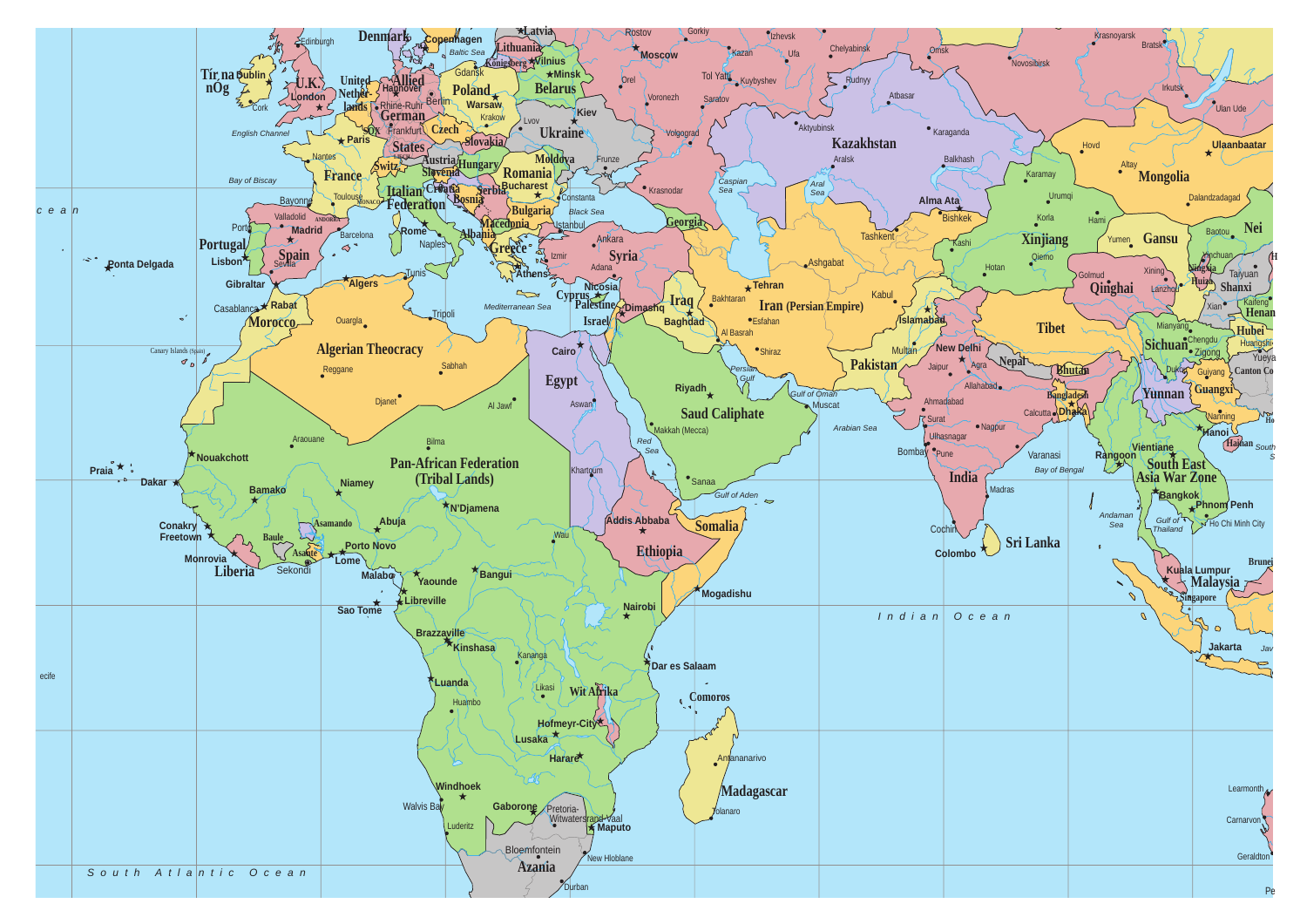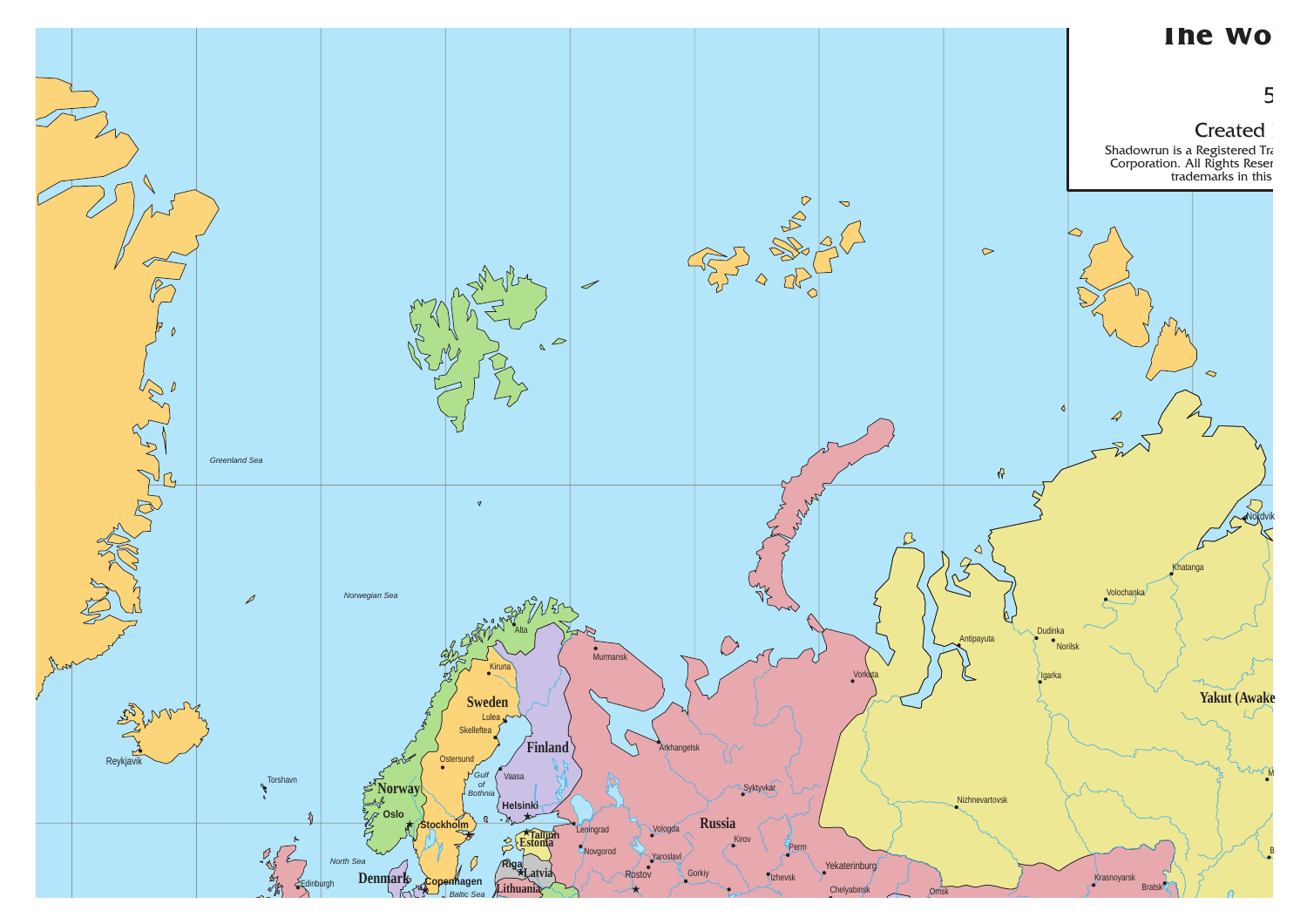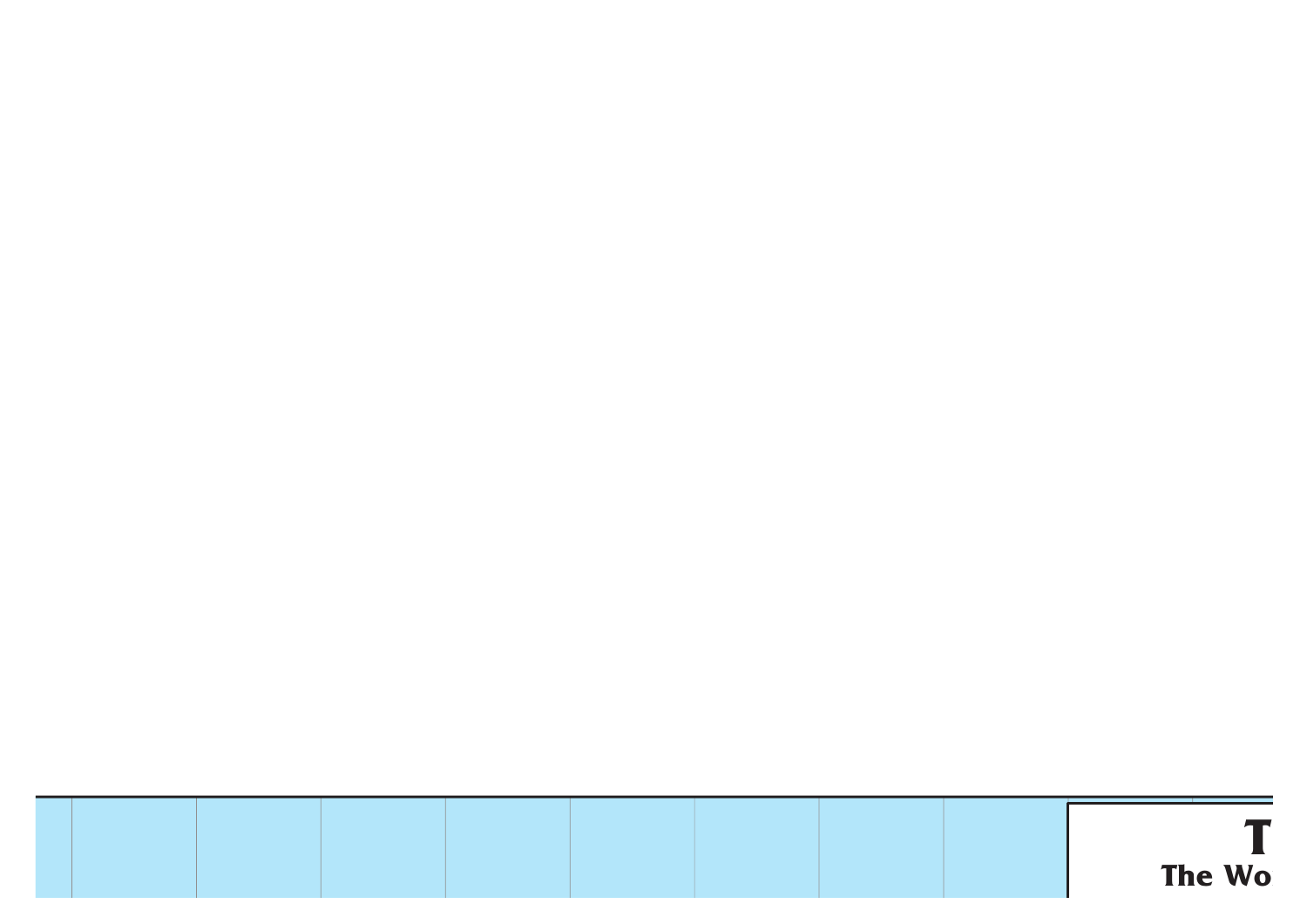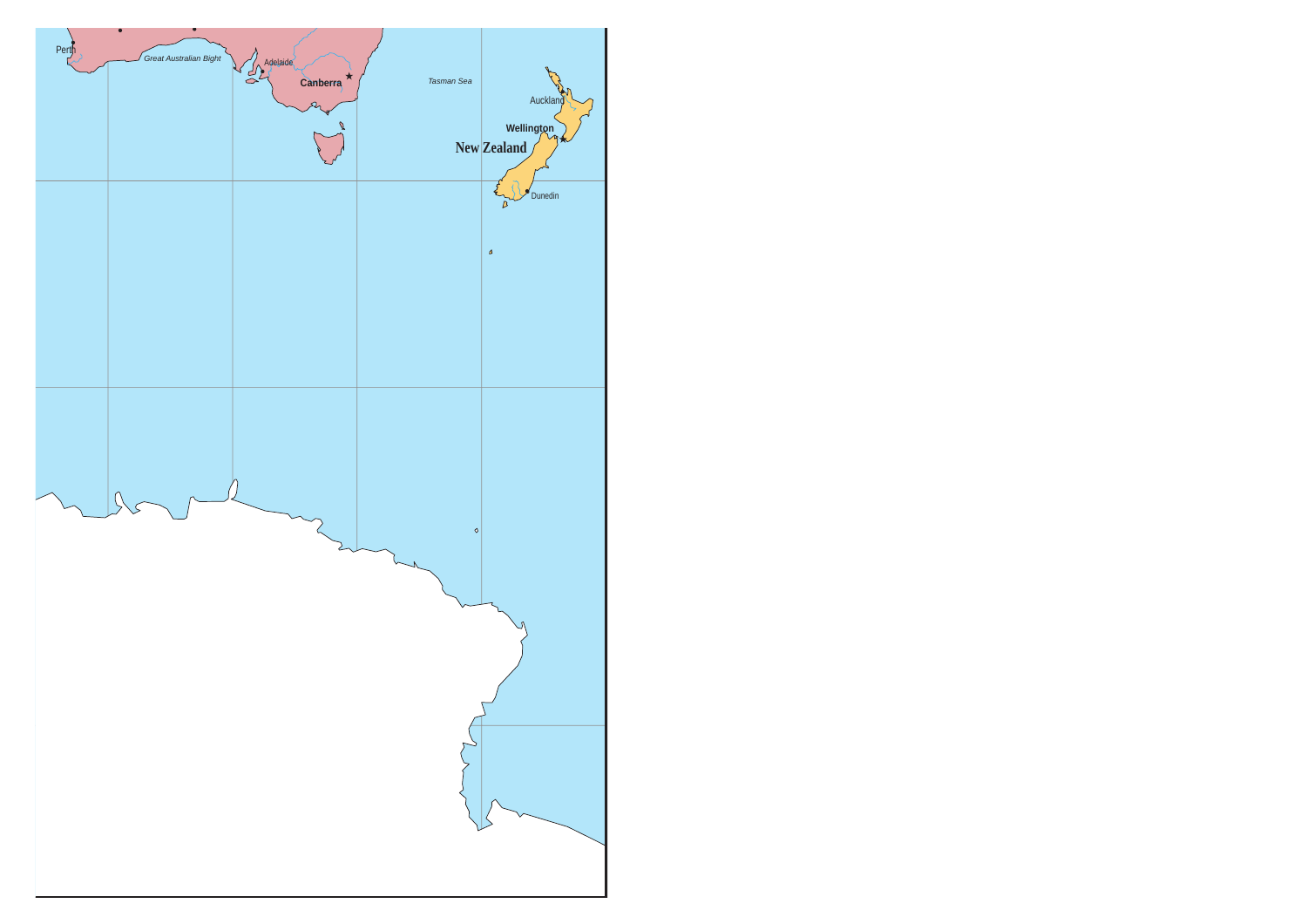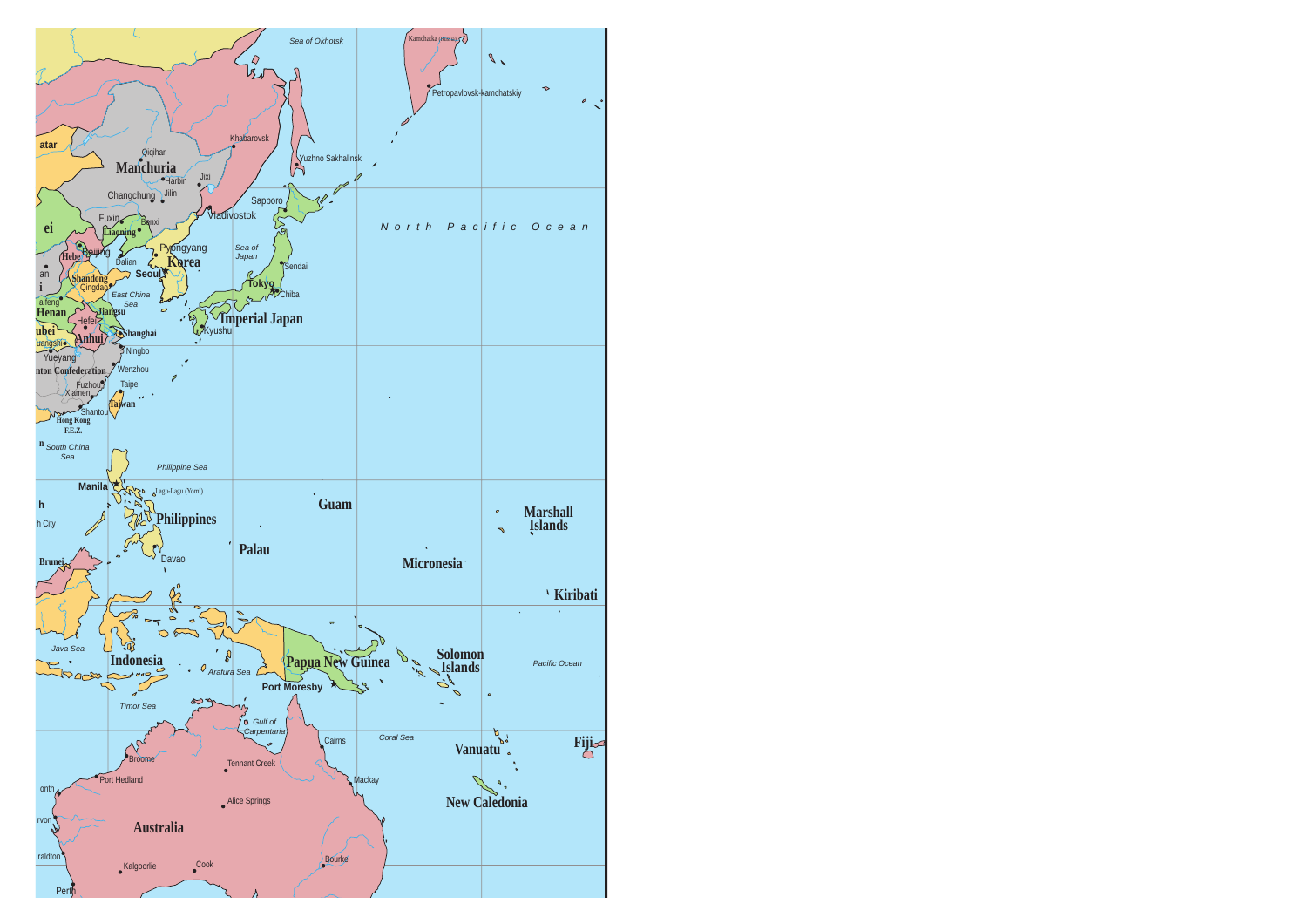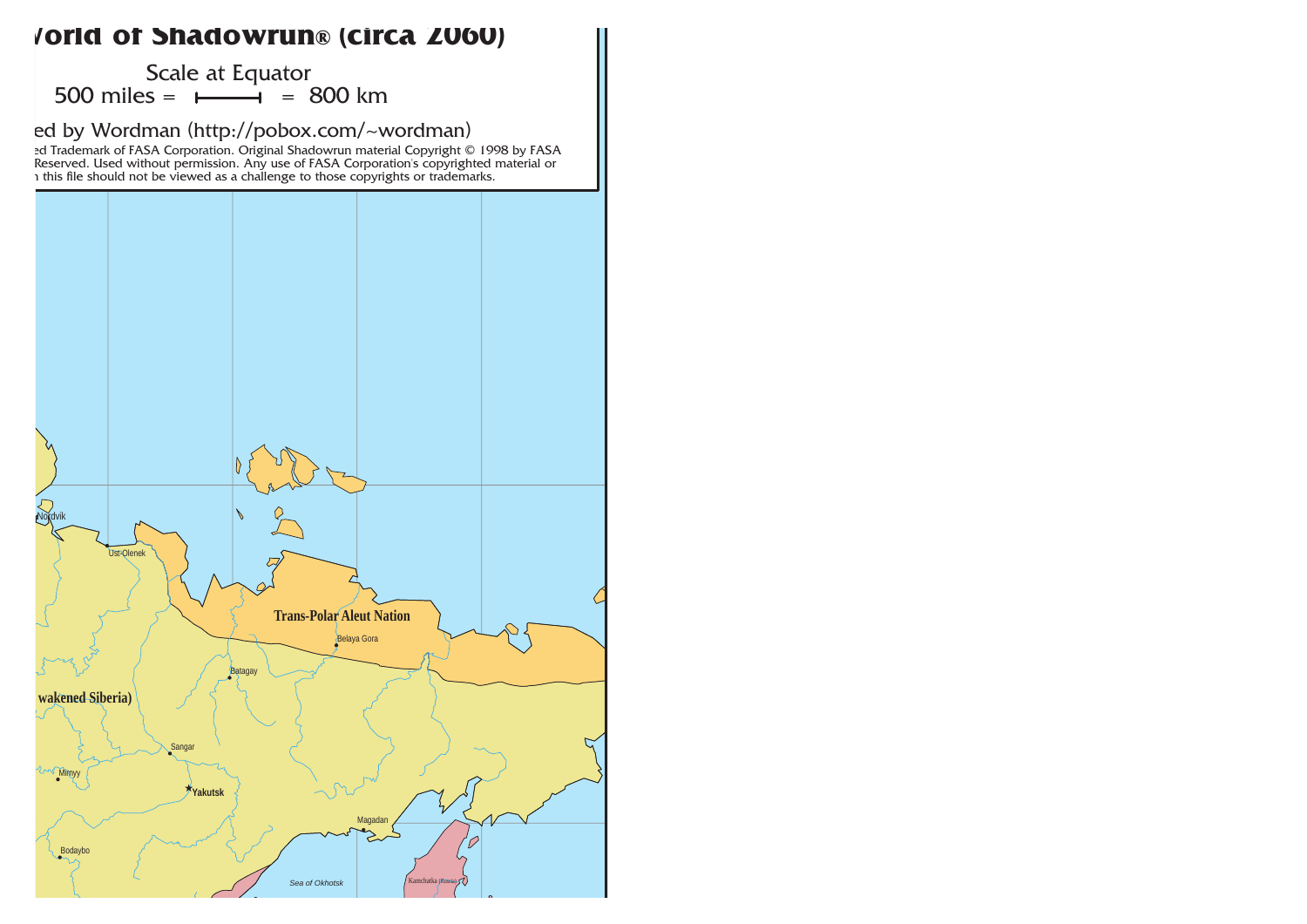## **i** /orld of Shadowrun® (circa 2060)

Scale at Equator 500 miles =  $\rightarrow$  = 800 km

ed by Wordman (http://pobox.com/~wordman)

ed Trademark of FASA Corporation. Original Shadowrun material Copyright © 1998 by FASA Reserved. Used without permission. Any use of FASA Corporation's copyrighted material or n this file should not be viewed as a challenge to those copyrights or trademarks.